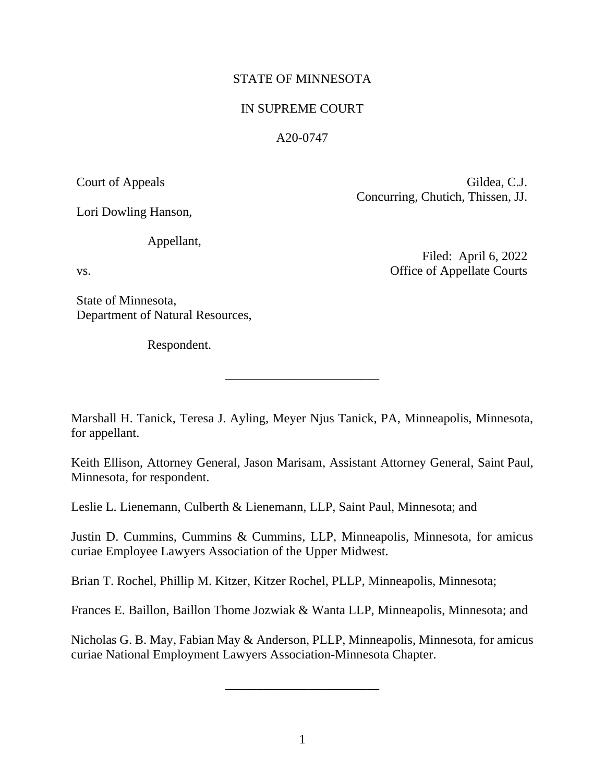# STATE OF MINNESOTA

# IN SUPREME COURT

## A20-0747

Court of Appeals Gildea, C.J. Concurring, Chutich, Thissen, JJ.

Lori Dowling Hanson,

Appellant,

State of Minnesota, Department of Natural Resources,

Respondent.

Filed: April 6, 2022 vs. Office of Appellate Courts

Marshall H. Tanick, Teresa J. Ayling, Meyer Njus Tanick, PA, Minneapolis, Minnesota, for appellant.

\_\_\_\_\_\_\_\_\_\_\_\_\_\_\_\_\_\_\_\_\_\_\_\_

Keith Ellison, Attorney General, Jason Marisam, Assistant Attorney General, Saint Paul, Minnesota, for respondent.

Leslie L. Lienemann, Culberth & Lienemann, LLP, Saint Paul, Minnesota; and

Justin D. Cummins, Cummins & Cummins, LLP, Minneapolis, Minnesota, for amicus curiae Employee Lawyers Association of the Upper Midwest.

Brian T. Rochel, Phillip M. Kitzer, Kitzer Rochel, PLLP, Minneapolis, Minnesota;

Frances E. Baillon, Baillon Thome Jozwiak & Wanta LLP, Minneapolis, Minnesota; and

Nicholas G. B. May, Fabian May & Anderson, PLLP, Minneapolis, Minnesota, for amicus curiae National Employment Lawyers Association-Minnesota Chapter.

\_\_\_\_\_\_\_\_\_\_\_\_\_\_\_\_\_\_\_\_\_\_\_\_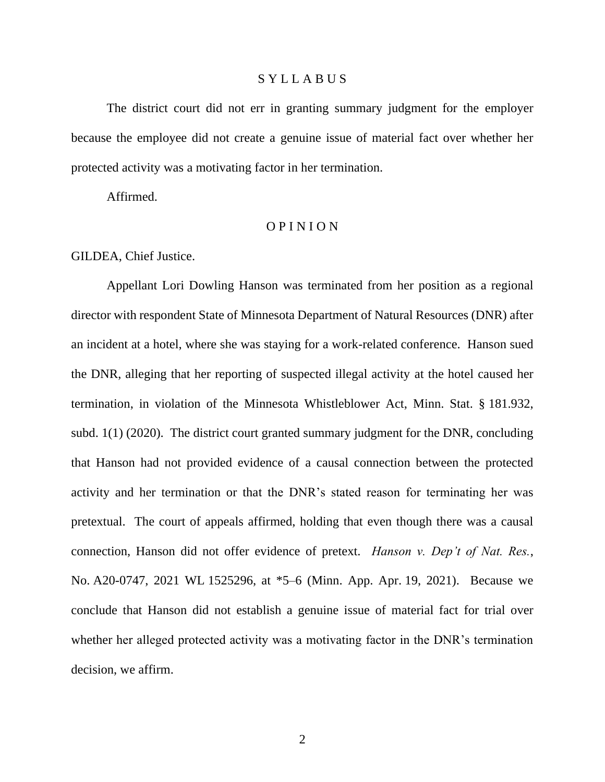## S Y L L A B U S

The district court did not err in granting summary judgment for the employer because the employee did not create a genuine issue of material fact over whether her protected activity was a motivating factor in her termination.

Affirmed.

## O P I N I O N

GILDEA, Chief Justice.

Appellant Lori Dowling Hanson was terminated from her position as a regional director with respondent State of Minnesota Department of Natural Resources (DNR) after an incident at a hotel, where she was staying for a work-related conference. Hanson sued the DNR, alleging that her reporting of suspected illegal activity at the hotel caused her termination, in violation of the Minnesota Whistleblower Act, Minn. Stat. § 181.932, subd. 1(1) (2020). The district court granted summary judgment for the DNR, concluding that Hanson had not provided evidence of a causal connection between the protected activity and her termination or that the DNR's stated reason for terminating her was pretextual. The court of appeals affirmed, holding that even though there was a causal connection, Hanson did not offer evidence of pretext. *Hanson v. Dep't of Nat. Res.*, No. A20-0747, 2021 WL 1525296, at \*5–6 (Minn. App. Apr. 19, 2021). Because we conclude that Hanson did not establish a genuine issue of material fact for trial over whether her alleged protected activity was a motivating factor in the DNR's termination decision, we affirm.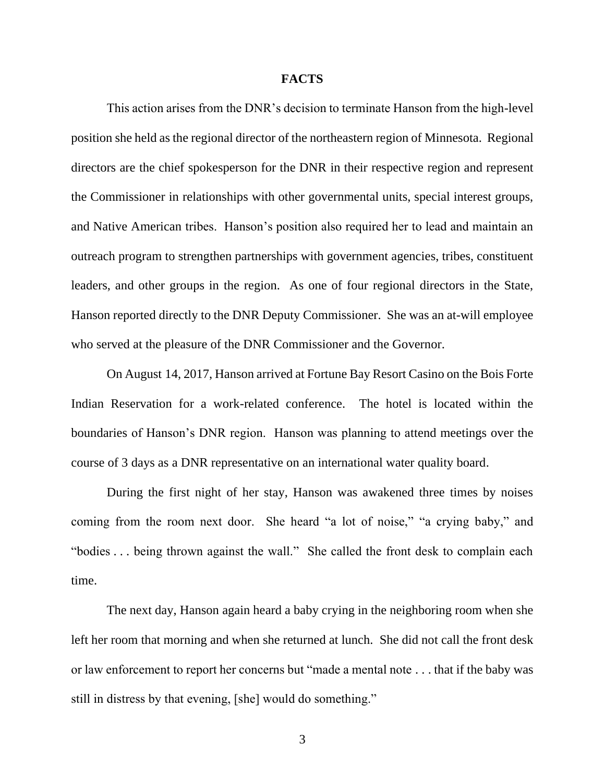#### **FACTS**

This action arises from the DNR's decision to terminate Hanson from the high-level position she held as the regional director of the northeastern region of Minnesota. Regional directors are the chief spokesperson for the DNR in their respective region and represent the Commissioner in relationships with other governmental units, special interest groups, and Native American tribes. Hanson's position also required her to lead and maintain an outreach program to strengthen partnerships with government agencies, tribes, constituent leaders, and other groups in the region. As one of four regional directors in the State, Hanson reported directly to the DNR Deputy Commissioner. She was an at-will employee who served at the pleasure of the DNR Commissioner and the Governor.

On August 14, 2017, Hanson arrived at Fortune Bay Resort Casino on the Bois Forte Indian Reservation for a work-related conference. The hotel is located within the boundaries of Hanson's DNR region. Hanson was planning to attend meetings over the course of 3 days as a DNR representative on an international water quality board.

During the first night of her stay, Hanson was awakened three times by noises coming from the room next door. She heard "a lot of noise," "a crying baby," and "bodies . . . being thrown against the wall." She called the front desk to complain each time.

The next day, Hanson again heard a baby crying in the neighboring room when she left her room that morning and when she returned at lunch. She did not call the front desk or law enforcement to report her concerns but "made a mental note . . . that if the baby was still in distress by that evening, [she] would do something."

3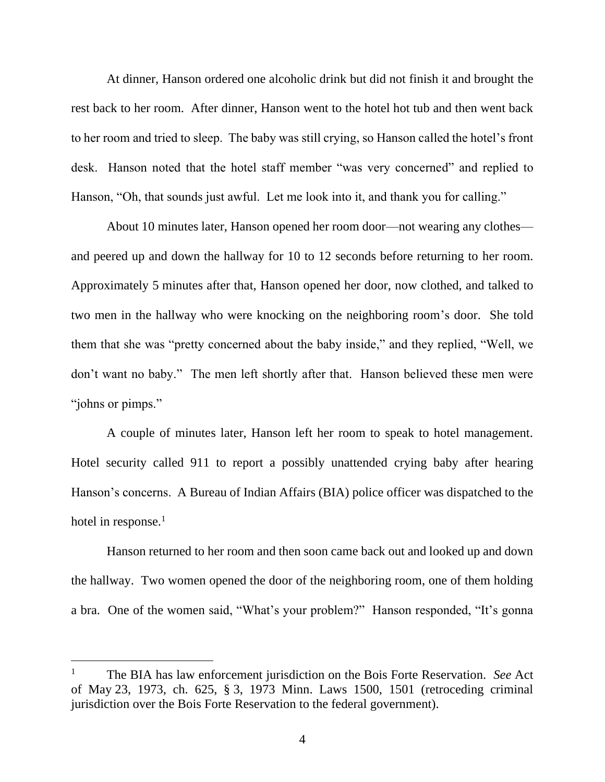At dinner, Hanson ordered one alcoholic drink but did not finish it and brought the rest back to her room. After dinner, Hanson went to the hotel hot tub and then went back to her room and tried to sleep. The baby was still crying, so Hanson called the hotel's front desk. Hanson noted that the hotel staff member "was very concerned" and replied to Hanson, "Oh, that sounds just awful. Let me look into it, and thank you for calling."

About 10 minutes later, Hanson opened her room door—not wearing any clothes and peered up and down the hallway for 10 to 12 seconds before returning to her room. Approximately 5 minutes after that, Hanson opened her door, now clothed, and talked to two men in the hallway who were knocking on the neighboring room's door. She told them that she was "pretty concerned about the baby inside," and they replied, "Well, we don't want no baby." The men left shortly after that. Hanson believed these men were "johns or pimps."

A couple of minutes later, Hanson left her room to speak to hotel management. Hotel security called 911 to report a possibly unattended crying baby after hearing Hanson's concerns. A Bureau of Indian Affairs (BIA) police officer was dispatched to the hotel in response. $<sup>1</sup>$ </sup>

Hanson returned to her room and then soon came back out and looked up and down the hallway. Two women opened the door of the neighboring room, one of them holding a bra. One of the women said, "What's your problem?" Hanson responded, "It's gonna

<sup>1</sup> The BIA has law enforcement jurisdiction on the Bois Forte Reservation. *See* Act of May 23, 1973, ch. 625, § 3, 1973 Minn. Laws 1500, 1501 (retroceding criminal jurisdiction over the Bois Forte Reservation to the federal government).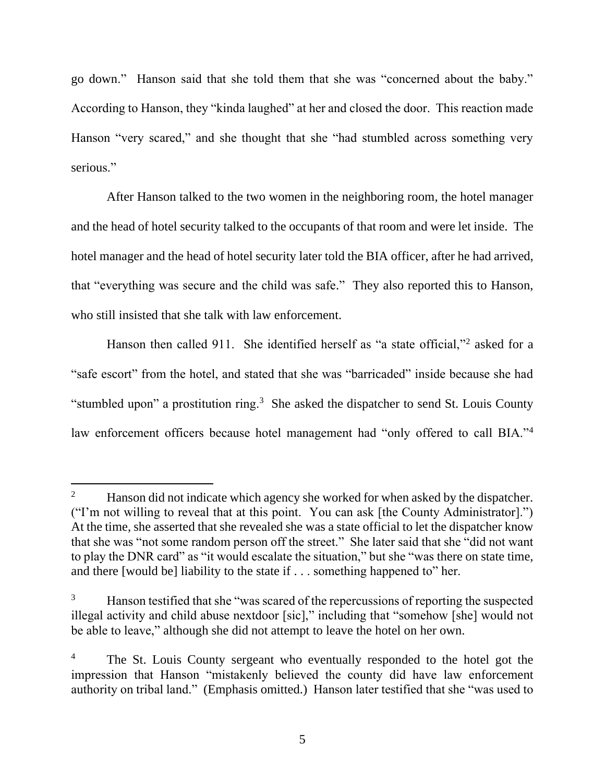go down." Hanson said that she told them that she was "concerned about the baby." According to Hanson, they "kinda laughed" at her and closed the door. This reaction made Hanson "very scared," and she thought that she "had stumbled across something very serious."

After Hanson talked to the two women in the neighboring room, the hotel manager and the head of hotel security talked to the occupants of that room and were let inside. The hotel manager and the head of hotel security later told the BIA officer, after he had arrived, that "everything was secure and the child was safe." They also reported this to Hanson, who still insisted that she talk with law enforcement.

Hanson then called 911. She identified herself as "a state official,"<sup>2</sup> asked for a "safe escort" from the hotel, and stated that she was "barricaded" inside because she had "stumbled upon" a prostitution ring.<sup>3</sup> She asked the dispatcher to send St. Louis County law enforcement officers because hotel management had "only offered to call BIA."<sup>4</sup>

<sup>&</sup>lt;sup>2</sup> Hanson did not indicate which agency she worked for when asked by the dispatcher. ("I'm not willing to reveal that at this point. You can ask [the County Administrator].") At the time, she asserted that she revealed she was a state official to let the dispatcher know that she was "not some random person off the street." She later said that she "did not want to play the DNR card" as "it would escalate the situation," but she "was there on state time, and there [would be] liability to the state if . . . something happened to" her.

Hanson testified that she "was scared of the repercussions of reporting the suspected illegal activity and child abuse nextdoor [sic]," including that "somehow [she] would not be able to leave," although she did not attempt to leave the hotel on her own.

<sup>&</sup>lt;sup>4</sup> The St. Louis County sergeant who eventually responded to the hotel got the impression that Hanson "mistakenly believed the county did have law enforcement authority on tribal land." (Emphasis omitted.) Hanson later testified that she "was used to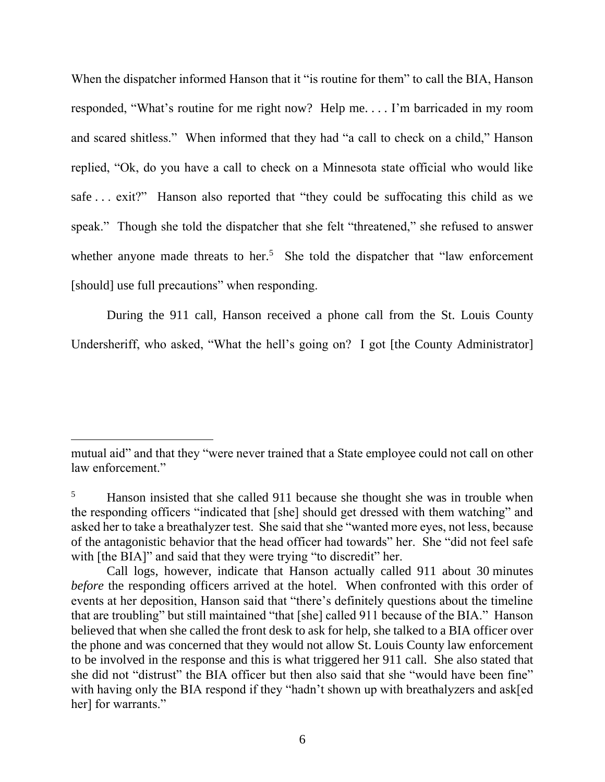When the dispatcher informed Hanson that it "is routine for them" to call the BIA, Hanson responded, "What's routine for me right now? Help me. . . . I'm barricaded in my room and scared shitless." When informed that they had "a call to check on a child," Hanson replied, "Ok, do you have a call to check on a Minnesota state official who would like safe ... exit?" Hanson also reported that "they could be suffocating this child as we speak." Though she told the dispatcher that she felt "threatened," she refused to answer whether anyone made threats to her.<sup>5</sup> She told the dispatcher that "law enforcement" [should] use full precautions" when responding.

During the 911 call, Hanson received a phone call from the St. Louis County Undersheriff, who asked, "What the hell's going on? I got [the County Administrator]

mutual aid" and that they "were never trained that a State employee could not call on other law enforcement."

Hanson insisted that she called 911 because she thought she was in trouble when the responding officers "indicated that [she] should get dressed with them watching" and asked her to take a breathalyzer test. She said that she "wanted more eyes, not less, because of the antagonistic behavior that the head officer had towards" her. She "did not feel safe with [the BIA]" and said that they were trying "to discredit" her.

Call logs, however, indicate that Hanson actually called 911 about 30 minutes *before* the responding officers arrived at the hotel. When confronted with this order of events at her deposition, Hanson said that "there's definitely questions about the timeline that are troubling" but still maintained "that [she] called 911 because of the BIA." Hanson believed that when she called the front desk to ask for help, she talked to a BIA officer over the phone and was concerned that they would not allow St. Louis County law enforcement to be involved in the response and this is what triggered her 911 call. She also stated that she did not "distrust" the BIA officer but then also said that she "would have been fine" with having only the BIA respond if they "hadn't shown up with breathalyzers and ask[ed] her] for warrants."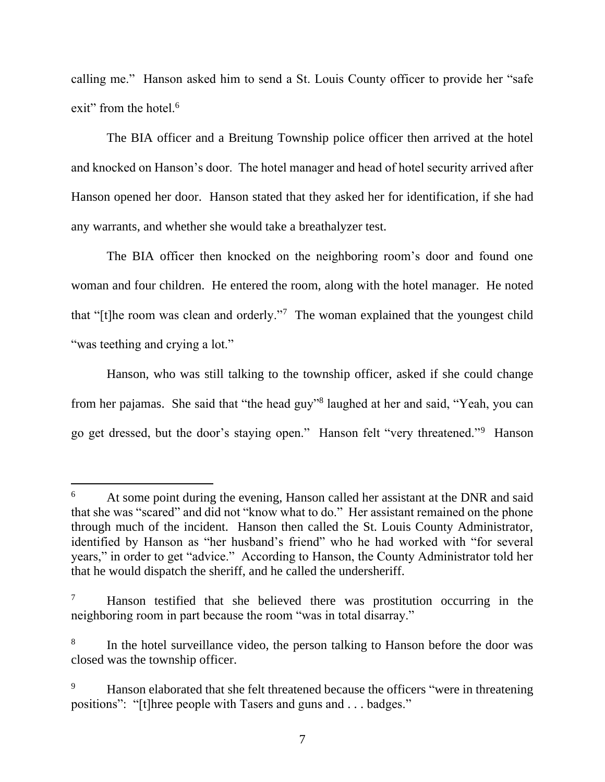calling me." Hanson asked him to send a St. Louis County officer to provide her "safe exit" from the hotel.<sup>6</sup>

The BIA officer and a Breitung Township police officer then arrived at the hotel and knocked on Hanson's door. The hotel manager and head of hotel security arrived after Hanson opened her door. Hanson stated that they asked her for identification, if she had any warrants, and whether she would take a breathalyzer test.

The BIA officer then knocked on the neighboring room's door and found one woman and four children. He entered the room, along with the hotel manager. He noted that "[t]he room was clean and orderly."<sup>7</sup> The woman explained that the youngest child "was teething and crying a lot."

Hanson, who was still talking to the township officer, asked if she could change from her pajamas. She said that "the head guy"<sup>8</sup> laughed at her and said, "Yeah, you can go get dressed, but the door's staying open." Hanson felt "very threatened."<sup>9</sup> Hanson

At some point during the evening, Hanson called her assistant at the DNR and said that she was "scared" and did not "know what to do." Her assistant remained on the phone through much of the incident. Hanson then called the St. Louis County Administrator, identified by Hanson as "her husband's friend" who he had worked with "for several years," in order to get "advice." According to Hanson, the County Administrator told her that he would dispatch the sheriff, and he called the undersheriff.

<sup>7</sup> Hanson testified that she believed there was prostitution occurring in the neighboring room in part because the room "was in total disarray."

<sup>8</sup> In the hotel surveillance video, the person talking to Hanson before the door was closed was the township officer.

Hanson elaborated that she felt threatened because the officers "were in threatening positions": "[t]hree people with Tasers and guns and . . . badges."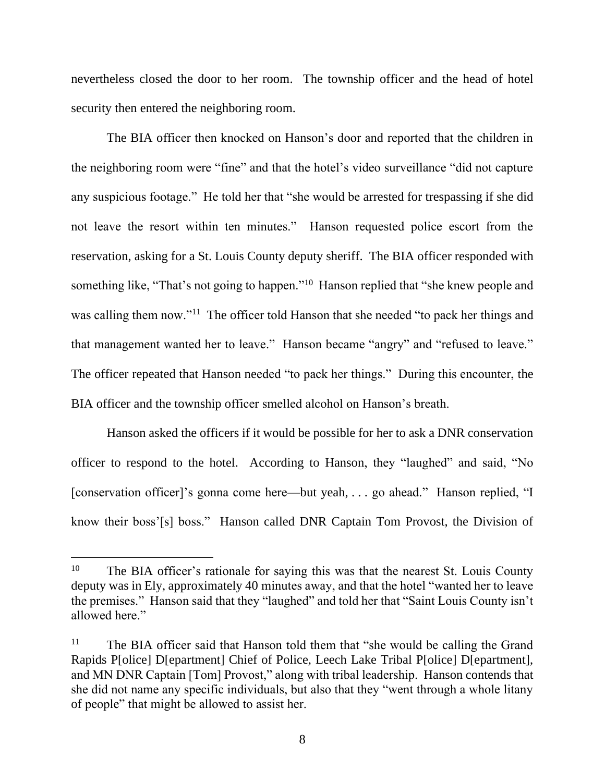nevertheless closed the door to her room. The township officer and the head of hotel security then entered the neighboring room.

The BIA officer then knocked on Hanson's door and reported that the children in the neighboring room were "fine" and that the hotel's video surveillance "did not capture any suspicious footage." He told her that "she would be arrested for trespassing if she did not leave the resort within ten minutes." Hanson requested police escort from the reservation, asking for a St. Louis County deputy sheriff. The BIA officer responded with something like, "That's not going to happen."<sup>10</sup> Hanson replied that "she knew people and was calling them now."<sup>11</sup> The officer told Hanson that she needed "to pack her things and that management wanted her to leave." Hanson became "angry" and "refused to leave." The officer repeated that Hanson needed "to pack her things." During this encounter, the BIA officer and the township officer smelled alcohol on Hanson's breath.

Hanson asked the officers if it would be possible for her to ask a DNR conservation officer to respond to the hotel. According to Hanson, they "laughed" and said, "No [conservation officer]'s gonna come here—but yeah, . . . go ahead." Hanson replied, "I know their boss'[s] boss." Hanson called DNR Captain Tom Provost, the Division of

<sup>&</sup>lt;sup>10</sup> The BIA officer's rationale for saying this was that the nearest St. Louis County deputy was in Ely, approximately 40 minutes away, and that the hotel "wanted her to leave the premises." Hanson said that they "laughed" and told her that "Saint Louis County isn't allowed here."

<sup>&</sup>lt;sup>11</sup> The BIA officer said that Hanson told them that "she would be calling the Grand Rapids P[olice] D[epartment] Chief of Police, Leech Lake Tribal P[olice] D[epartment], and MN DNR Captain [Tom] Provost," along with tribal leadership. Hanson contends that she did not name any specific individuals, but also that they "went through a whole litany of people" that might be allowed to assist her.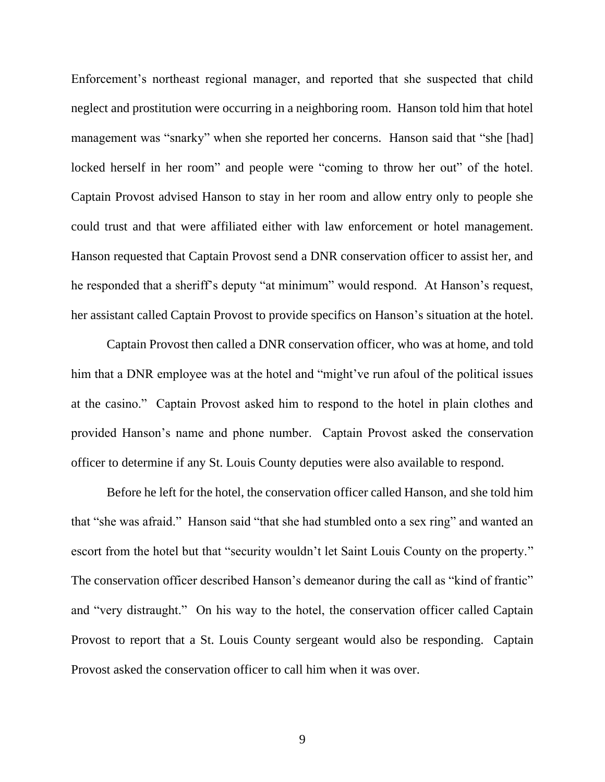Enforcement's northeast regional manager, and reported that she suspected that child neglect and prostitution were occurring in a neighboring room. Hanson told him that hotel management was "snarky" when she reported her concerns. Hanson said that "she [had] locked herself in her room" and people were "coming to throw her out" of the hotel. Captain Provost advised Hanson to stay in her room and allow entry only to people she could trust and that were affiliated either with law enforcement or hotel management. Hanson requested that Captain Provost send a DNR conservation officer to assist her, and he responded that a sheriff's deputy "at minimum" would respond. At Hanson's request, her assistant called Captain Provost to provide specifics on Hanson's situation at the hotel.

Captain Provost then called a DNR conservation officer, who was at home, and told him that a DNR employee was at the hotel and "might've run afoul of the political issues at the casino." Captain Provost asked him to respond to the hotel in plain clothes and provided Hanson's name and phone number. Captain Provost asked the conservation officer to determine if any St. Louis County deputies were also available to respond.

Before he left for the hotel, the conservation officer called Hanson, and she told him that "she was afraid." Hanson said "that she had stumbled onto a sex ring" and wanted an escort from the hotel but that "security wouldn't let Saint Louis County on the property." The conservation officer described Hanson's demeanor during the call as "kind of frantic" and "very distraught." On his way to the hotel, the conservation officer called Captain Provost to report that a St. Louis County sergeant would also be responding. Captain Provost asked the conservation officer to call him when it was over.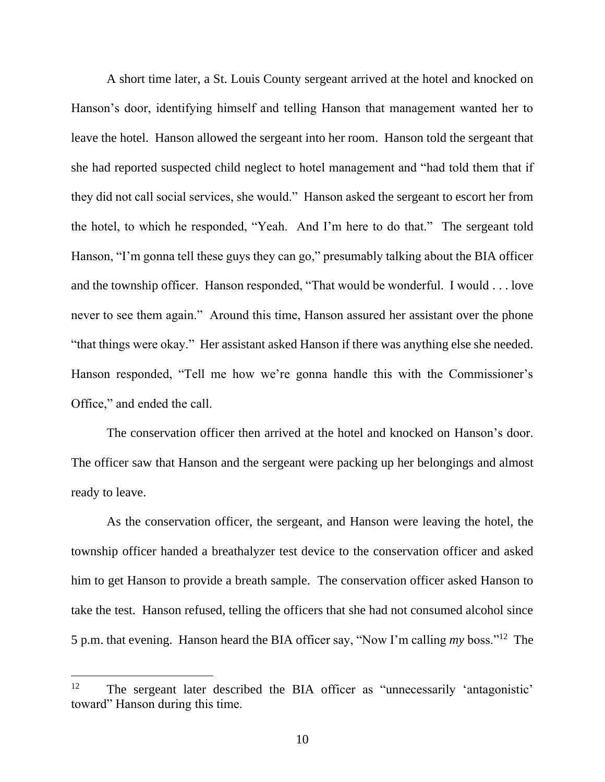A short time later, a St. Louis County sergeant arrived at the hotel and knocked on Hanson's door, identifying himself and telling Hanson that management wanted her to leave the hotel. Hanson allowed the sergeant into her room. Hanson told the sergeant that she had reported suspected child neglect to hotel management and "had told them that if they did not call social services, she would." Hanson asked the sergeant to escort her from the hotel, to which he responded, "Yeah. And I'm here to do that." The sergeant told Hanson, "I'm gonna tell these guys they can go," presumably talking about the BIA officer and the township officer. Hanson responded, "That would be wonderful. I would . . . love never to see them again." Around this time, Hanson assured her assistant over the phone "that things were okay." Her assistant asked Hanson if there was anything else she needed. Hanson responded, "Tell me how we're gonna handle this with the Commissioner's Office," and ended the call.

The conservation officer then arrived at the hotel and knocked on Hanson's door. The officer saw that Hanson and the sergeant were packing up her belongings and almost ready to leave.

As the conservation officer, the sergeant, and Hanson were leaving the hotel, the township officer handed a breathalyzer test device to the conservation officer and asked him to get Hanson to provide a breath sample. The conservation officer asked Hanson to take the test. Hanson refused, telling the officers that she had not consumed alcohol since 5 p.m. that evening. Hanson heard the BIA officer say, "Now I'm calling *my* boss."<sup>12</sup> The

<sup>12</sup> The sergeant later described the BIA officer as "unnecessarily 'antagonistic' toward" Hanson during this time.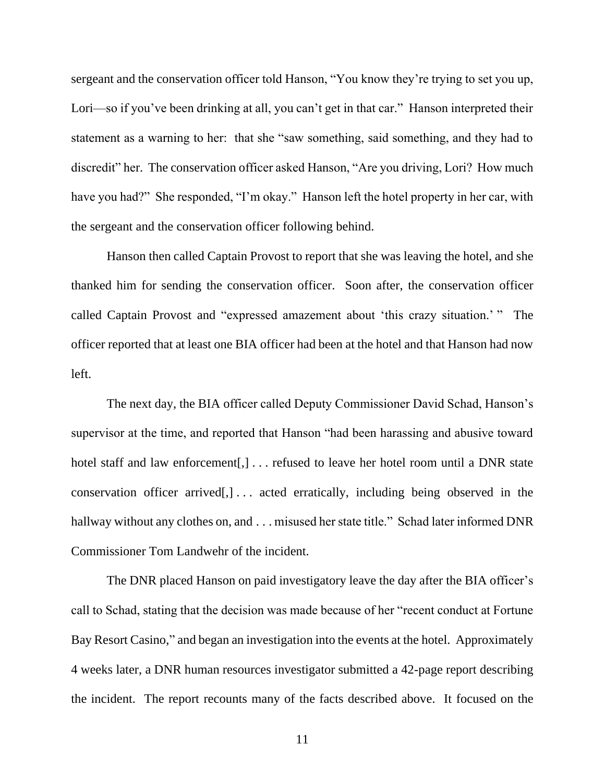sergeant and the conservation officer told Hanson, "You know they're trying to set you up, Lori—so if you've been drinking at all, you can't get in that car." Hanson interpreted their statement as a warning to her: that she "saw something, said something, and they had to discredit" her. The conservation officer asked Hanson, "Are you driving, Lori? How much have you had?" She responded, "I'm okay." Hanson left the hotel property in her car, with the sergeant and the conservation officer following behind.

Hanson then called Captain Provost to report that she was leaving the hotel, and she thanked him for sending the conservation officer. Soon after, the conservation officer called Captain Provost and "expressed amazement about 'this crazy situation.' " The officer reported that at least one BIA officer had been at the hotel and that Hanson had now left.

The next day, the BIA officer called Deputy Commissioner David Schad, Hanson's supervisor at the time, and reported that Hanson "had been harassing and abusive toward hotel staff and law enforcement[,] . . . refused to leave her hotel room until a DNR state conservation officer arrived[,] . . . acted erratically, including being observed in the hallway without any clothes on, and . . . misused her state title." Schad later informed DNR Commissioner Tom Landwehr of the incident.

The DNR placed Hanson on paid investigatory leave the day after the BIA officer's call to Schad, stating that the decision was made because of her "recent conduct at Fortune Bay Resort Casino," and began an investigation into the events at the hotel. Approximately 4 weeks later, a DNR human resources investigator submitted a 42-page report describing the incident. The report recounts many of the facts described above. It focused on the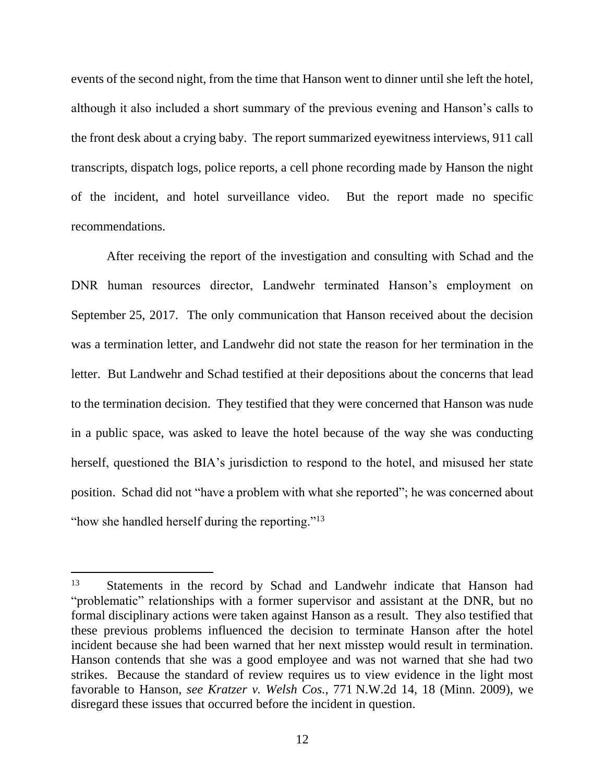events of the second night, from the time that Hanson went to dinner until she left the hotel, although it also included a short summary of the previous evening and Hanson's calls to the front desk about a crying baby. The report summarized eyewitness interviews, 911 call transcripts, dispatch logs, police reports, a cell phone recording made by Hanson the night of the incident, and hotel surveillance video. But the report made no specific recommendations.

After receiving the report of the investigation and consulting with Schad and the DNR human resources director, Landwehr terminated Hanson's employment on September 25, 2017. The only communication that Hanson received about the decision was a termination letter, and Landwehr did not state the reason for her termination in the letter. But Landwehr and Schad testified at their depositions about the concerns that lead to the termination decision. They testified that they were concerned that Hanson was nude in a public space, was asked to leave the hotel because of the way she was conducting herself, questioned the BIA's jurisdiction to respond to the hotel, and misused her state position. Schad did not "have a problem with what she reported"; he was concerned about "how she handled herself during the reporting."<sup>13</sup>

<sup>&</sup>lt;sup>13</sup> Statements in the record by Schad and Landwehr indicate that Hanson had "problematic" relationships with a former supervisor and assistant at the DNR, but no formal disciplinary actions were taken against Hanson as a result. They also testified that these previous problems influenced the decision to terminate Hanson after the hotel incident because she had been warned that her next misstep would result in termination. Hanson contends that she was a good employee and was not warned that she had two strikes. Because the standard of review requires us to view evidence in the light most favorable to Hanson, *see Kratzer v. Welsh Cos.*, 771 N.W.2d 14, 18 (Minn. 2009), we disregard these issues that occurred before the incident in question.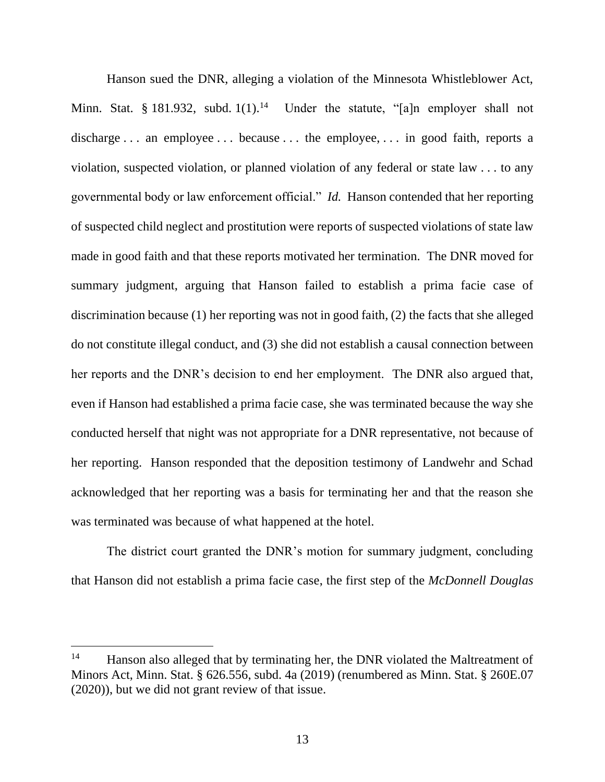Hanson sued the DNR, alleging a violation of the Minnesota Whistleblower Act, Minn. Stat. § 181.932, subd.  $1(1)$ .<sup>14</sup> Under the statute, "[a]n employer shall not discharge . . . an employee . . . because . . . the employee, . . . in good faith, reports a violation, suspected violation, or planned violation of any federal or state law . . . to any governmental body or law enforcement official." *Id.* Hanson contended that her reporting of suspected child neglect and prostitution were reports of suspected violations of state law made in good faith and that these reports motivated her termination. The DNR moved for summary judgment, arguing that Hanson failed to establish a prima facie case of discrimination because (1) her reporting was not in good faith, (2) the facts that she alleged do not constitute illegal conduct, and (3) she did not establish a causal connection between her reports and the DNR's decision to end her employment. The DNR also argued that, even if Hanson had established a prima facie case, she was terminated because the way she conducted herself that night was not appropriate for a DNR representative, not because of her reporting. Hanson responded that the deposition testimony of Landwehr and Schad acknowledged that her reporting was a basis for terminating her and that the reason she was terminated was because of what happened at the hotel.

The district court granted the DNR's motion for summary judgment, concluding that Hanson did not establish a prima facie case, the first step of the *McDonnell Douglas*

<sup>&</sup>lt;sup>14</sup> Hanson also alleged that by terminating her, the DNR violated the Maltreatment of Minors Act, Minn. Stat. § 626.556, subd. 4a (2019) (renumbered as Minn. Stat. § 260E.07 (2020)), but we did not grant review of that issue.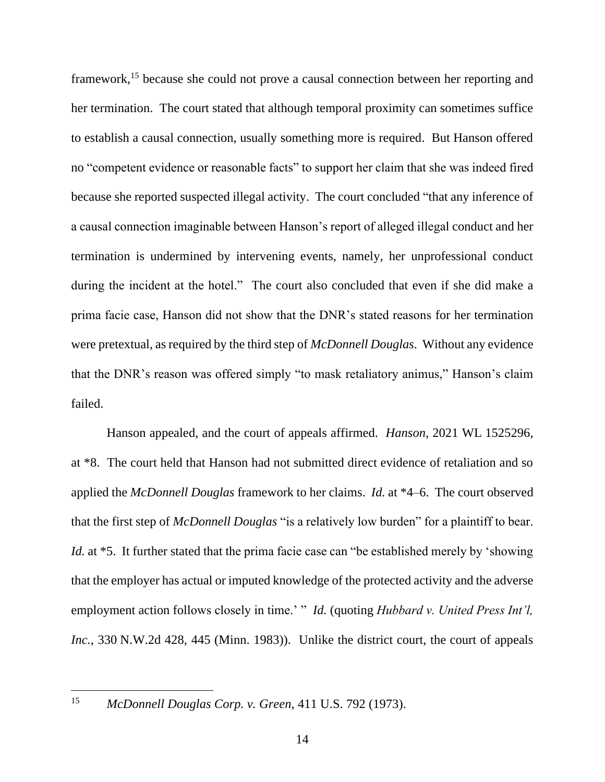framework,<sup>15</sup> because she could not prove a causal connection between her reporting and her termination. The court stated that although temporal proximity can sometimes suffice to establish a causal connection, usually something more is required. But Hanson offered no "competent evidence or reasonable facts" to support her claim that she was indeed fired because she reported suspected illegal activity. The court concluded "that any inference of a causal connection imaginable between Hanson's report of alleged illegal conduct and her termination is undermined by intervening events, namely, her unprofessional conduct during the incident at the hotel." The court also concluded that even if she did make a prima facie case, Hanson did not show that the DNR's stated reasons for her termination were pretextual, as required by the third step of *McDonnell Douglas*. Without any evidence that the DNR's reason was offered simply "to mask retaliatory animus," Hanson's claim failed.

Hanson appealed, and the court of appeals affirmed. *Hanson*, 2021 WL 1525296, at \*8. The court held that Hanson had not submitted direct evidence of retaliation and so applied the *McDonnell Douglas* framework to her claims. *Id.* at \*4–6. The court observed that the first step of *McDonnell Douglas* "is a relatively low burden" for a plaintiff to bear. *Id.* at \*5. It further stated that the prima facie case can "be established merely by 'showing that the employer has actual or imputed knowledge of the protected activity and the adverse employment action follows closely in time.' " *Id.* (quoting *Hubbard v. United Press Int'l, Inc.*, 330 N.W.2d 428, 445 (Minn. 1983)). Unlike the district court, the court of appeals

<sup>15</sup> *McDonnell Douglas Corp. v. Green*, 411 U.S. 792 (1973).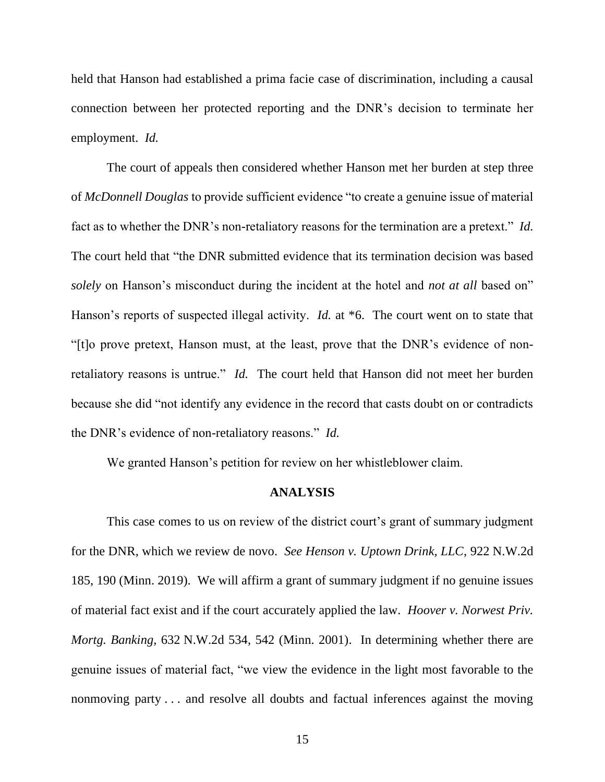held that Hanson had established a prima facie case of discrimination, including a causal connection between her protected reporting and the DNR's decision to terminate her employment. *Id.*

The court of appeals then considered whether Hanson met her burden at step three of *McDonnell Douglas* to provide sufficient evidence "to create a genuine issue of material fact as to whether the DNR's non-retaliatory reasons for the termination are a pretext." *Id.* The court held that "the DNR submitted evidence that its termination decision was based *solely* on Hanson's misconduct during the incident at the hotel and *not at all* based on" Hanson's reports of suspected illegal activity. *Id.* at \*6. The court went on to state that "[t]o prove pretext, Hanson must, at the least, prove that the DNR's evidence of nonretaliatory reasons is untrue." *Id.* The court held that Hanson did not meet her burden because she did "not identify any evidence in the record that casts doubt on or contradicts the DNR's evidence of non-retaliatory reasons." *Id.*

We granted Hanson's petition for review on her whistleblower claim.

## **ANALYSIS**

This case comes to us on review of the district court's grant of summary judgment for the DNR, which we review de novo. *See Henson v. Uptown Drink, LLC*, 922 N.W.2d 185, 190 (Minn. 2019). We will affirm a grant of summary judgment if no genuine issues of material fact exist and if the court accurately applied the law. *Hoover v. Norwest Priv. Mortg. Banking*, 632 N.W.2d 534, 542 (Minn. 2001). In determining whether there are genuine issues of material fact, "we view the evidence in the light most favorable to the nonmoving party . . . and resolve all doubts and factual inferences against the moving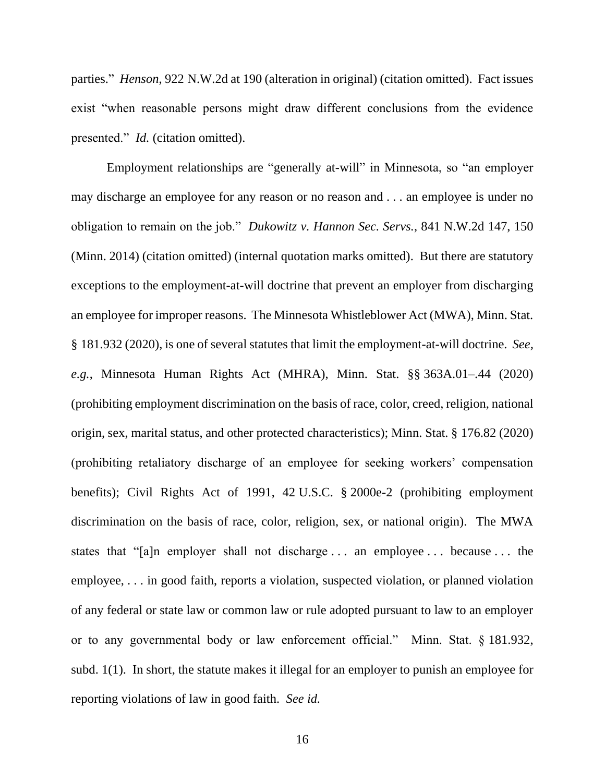parties." *Henson*, 922 N.W.2d at 190 (alteration in original) (citation omitted). Fact issues exist "when reasonable persons might draw different conclusions from the evidence presented." *Id.* (citation omitted).

Employment relationships are "generally at-will" in Minnesota, so "an employer may discharge an employee for any reason or no reason and . . . an employee is under no obligation to remain on the job." *Dukowitz v. Hannon Sec. Servs.*, 841 N.W.2d 147, 150 (Minn. 2014) (citation omitted) (internal quotation marks omitted). But there are statutory exceptions to the employment-at-will doctrine that prevent an employer from discharging an employee for improper reasons. The Minnesota Whistleblower Act (MWA), Minn. Stat. § 181.932 (2020), is one of several statutes that limit the employment-at-will doctrine. *See, e.g.*, Minnesota Human Rights Act (MHRA), Minn. Stat. §§ 363A.01–.44 (2020) (prohibiting employment discrimination on the basis of race, color, creed, religion, national origin, sex, marital status, and other protected characteristics); Minn. Stat. § 176.82 (2020) (prohibiting retaliatory discharge of an employee for seeking workers' compensation benefits); Civil Rights Act of 1991, 42 U.S.C. § 2000e-2 (prohibiting employment discrimination on the basis of race, color, religion, sex, or national origin). The MWA states that "[a]n employer shall not discharge . . . an employee . . . because . . . the employee, . . . in good faith, reports a violation, suspected violation, or planned violation of any federal or state law or common law or rule adopted pursuant to law to an employer or to any governmental body or law enforcement official." Minn. Stat. § 181.932, subd. 1(1). In short, the statute makes it illegal for an employer to punish an employee for reporting violations of law in good faith. *See id.*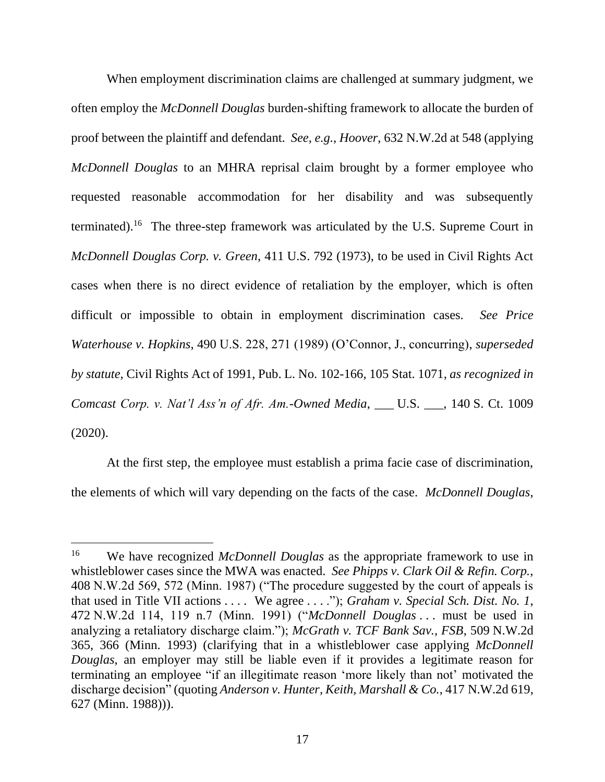When employment discrimination claims are challenged at summary judgment, we often employ the *McDonnell Douglas* burden-shifting framework to allocate the burden of proof between the plaintiff and defendant. *See, e.g.*, *Hoover*, 632 N.W.2d at 548 (applying *McDonnell Douglas* to an MHRA reprisal claim brought by a former employee who requested reasonable accommodation for her disability and was subsequently terminated).<sup>16</sup> The three-step framework was articulated by the U.S. Supreme Court in *McDonnell Douglas Corp. v. Green*, 411 U.S. 792 (1973), to be used in Civil Rights Act cases when there is no direct evidence of retaliation by the employer, which is often difficult or impossible to obtain in employment discrimination cases. *See Price Waterhouse v. Hopkins*, 490 U.S. 228, 271 (1989) (O'Connor, J., concurring), *superseded by statute*, Civil Rights Act of 1991, Pub. L. No. 102-166, 105 Stat. 1071, *as recognized in Comcast Corp. v. Nat'l Ass'n of Afr. Am.-Owned Media*, \_\_\_ U.S. \_\_\_, 140 S. Ct. 1009 (2020).

At the first step, the employee must establish a prima facie case of discrimination, the elements of which will vary depending on the facts of the case. *McDonnell Douglas*,

<sup>16</sup> We have recognized *McDonnell Douglas* as the appropriate framework to use in whistleblower cases since the MWA was enacted. *See Phipps v. Clark Oil & Refin. Corp.*, 408 N.W.2d 569, 572 (Minn. 1987) ("The procedure suggested by the court of appeals is that used in Title VII actions . . . . We agree . . . ."); *Graham v. Special Sch. Dist. No. 1*, 472 N.W.2d 114, 119 n.7 (Minn. 1991) ("*McDonnell Douglas* . . . must be used in analyzing a retaliatory discharge claim."); *McGrath v. TCF Bank Sav., FSB*, 509 N.W.2d 365, 366 (Minn. 1993) (clarifying that in a whistleblower case applying *McDonnell Douglas*, an employer may still be liable even if it provides a legitimate reason for terminating an employee "if an illegitimate reason 'more likely than not' motivated the discharge decision" (quoting *Anderson v. Hunter, Keith, Marshall & Co.*, 417 N.W.2d 619, 627 (Minn. 1988))).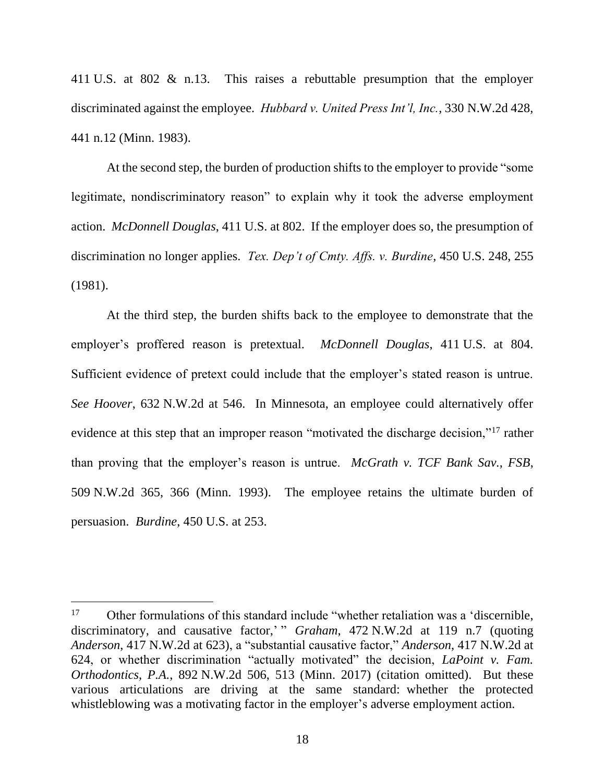411 U.S. at 802 & n.13. This raises a rebuttable presumption that the employer discriminated against the employee. *Hubbard v. United Press Int'l, Inc.*, 330 N.W.2d 428, 441 n.12 (Minn. 1983).

At the second step, the burden of production shifts to the employer to provide "some legitimate, nondiscriminatory reason" to explain why it took the adverse employment action. *McDonnell Douglas*, 411 U.S. at 802. If the employer does so, the presumption of discrimination no longer applies. *Tex. Dep't of Cmty. Affs. v. Burdine*, 450 U.S. 248, 255 (1981).

At the third step, the burden shifts back to the employee to demonstrate that the employer's proffered reason is pretextual. *McDonnell Douglas*, 411 U.S. at 804. Sufficient evidence of pretext could include that the employer's stated reason is untrue. *See Hoover*, 632 N.W.2d at 546. In Minnesota, an employee could alternatively offer evidence at this step that an improper reason "motivated the discharge decision,"<sup>17</sup> rather than proving that the employer's reason is untrue. *McGrath v. TCF Bank Sav., FSB*, 509 N.W.2d 365, 366 (Minn. 1993). The employee retains the ultimate burden of persuasion. *Burdine*, 450 U.S. at 253.

<sup>&</sup>lt;sup>17</sup> Other formulations of this standard include "whether retaliation was a 'discernible, discriminatory, and causative factor,' " *Graham*, 472 N.W.2d at 119 n.7 (quoting *Anderson*, 417 N.W.2d at 623), a "substantial causative factor," *Anderson*, 417 N.W.2d at 624, or whether discrimination "actually motivated" the decision, *LaPoint v. Fam. Orthodontics, P.A.*, 892 N.W.2d 506, 513 (Minn. 2017) (citation omitted). But these various articulations are driving at the same standard: whether the protected whistleblowing was a motivating factor in the employer's adverse employment action.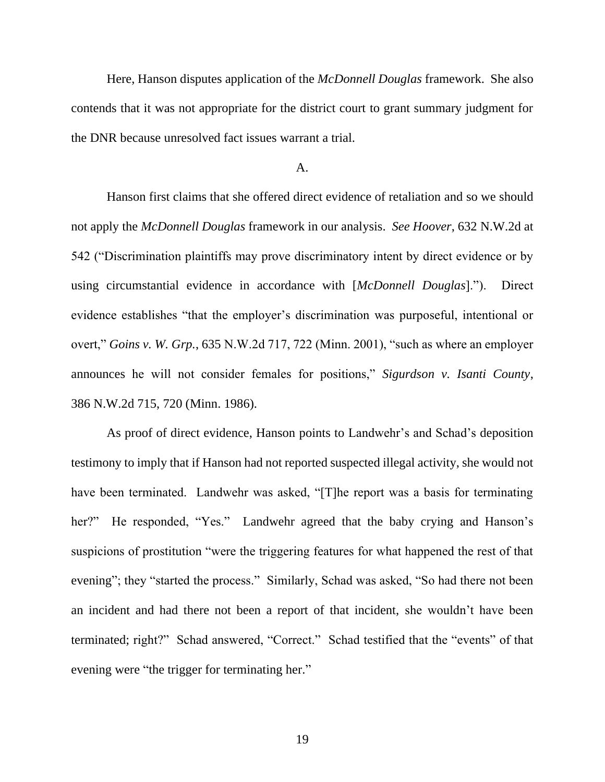Here, Hanson disputes application of the *McDonnell Douglas* framework. She also contends that it was not appropriate for the district court to grant summary judgment for the DNR because unresolved fact issues warrant a trial.

#### A.

Hanson first claims that she offered direct evidence of retaliation and so we should not apply the *McDonnell Douglas* framework in our analysis. *See Hoover*, 632 N.W.2d at 542 ("Discrimination plaintiffs may prove discriminatory intent by direct evidence or by using circumstantial evidence in accordance with [*McDonnell Douglas*]."). Direct evidence establishes "that the employer's discrimination was purposeful, intentional or overt," *Goins v. W. Grp.*, 635 N.W.2d 717, 722 (Minn. 2001), "such as where an employer announces he will not consider females for positions," *Sigurdson v. Isanti County*, 386 N.W.2d 715, 720 (Minn. 1986).

As proof of direct evidence, Hanson points to Landwehr's and Schad's deposition testimony to imply that if Hanson had not reported suspected illegal activity, she would not have been terminated. Landwehr was asked, "[T]he report was a basis for terminating her?" He responded, "Yes." Landwehr agreed that the baby crying and Hanson's suspicions of prostitution "were the triggering features for what happened the rest of that evening"; they "started the process." Similarly, Schad was asked, "So had there not been an incident and had there not been a report of that incident, she wouldn't have been terminated; right?" Schad answered, "Correct." Schad testified that the "events" of that evening were "the trigger for terminating her."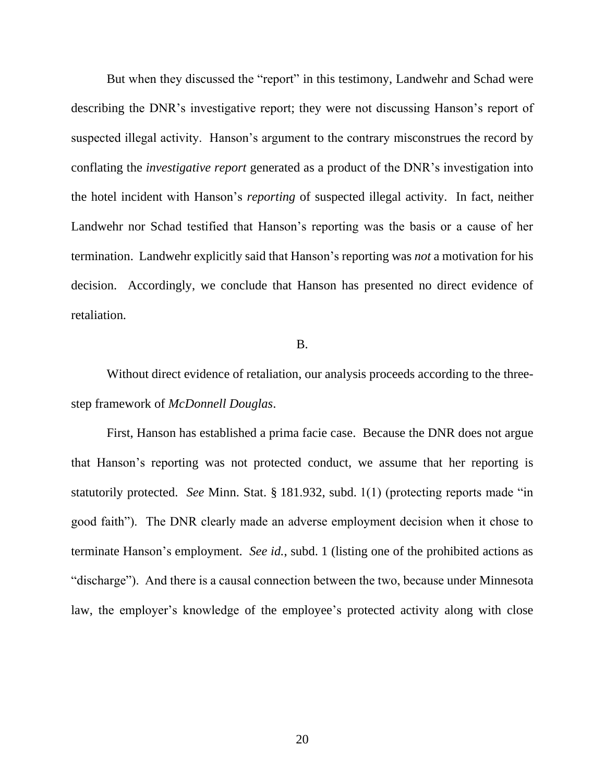But when they discussed the "report" in this testimony, Landwehr and Schad were describing the DNR's investigative report; they were not discussing Hanson's report of suspected illegal activity. Hanson's argument to the contrary misconstrues the record by conflating the *investigative report* generated as a product of the DNR's investigation into the hotel incident with Hanson's *reporting* of suspected illegal activity. In fact, neither Landwehr nor Schad testified that Hanson's reporting was the basis or a cause of her termination. Landwehr explicitly said that Hanson's reporting was *not* a motivation for his decision. Accordingly, we conclude that Hanson has presented no direct evidence of retaliation.

#### B.

Without direct evidence of retaliation, our analysis proceeds according to the threestep framework of *McDonnell Douglas*.

First, Hanson has established a prima facie case. Because the DNR does not argue that Hanson's reporting was not protected conduct, we assume that her reporting is statutorily protected. *See* Minn. Stat. § 181.932, subd. 1(1) (protecting reports made "in good faith"). The DNR clearly made an adverse employment decision when it chose to terminate Hanson's employment. *See id.*, subd. 1 (listing one of the prohibited actions as "discharge"). And there is a causal connection between the two, because under Minnesota law, the employer's knowledge of the employee's protected activity along with close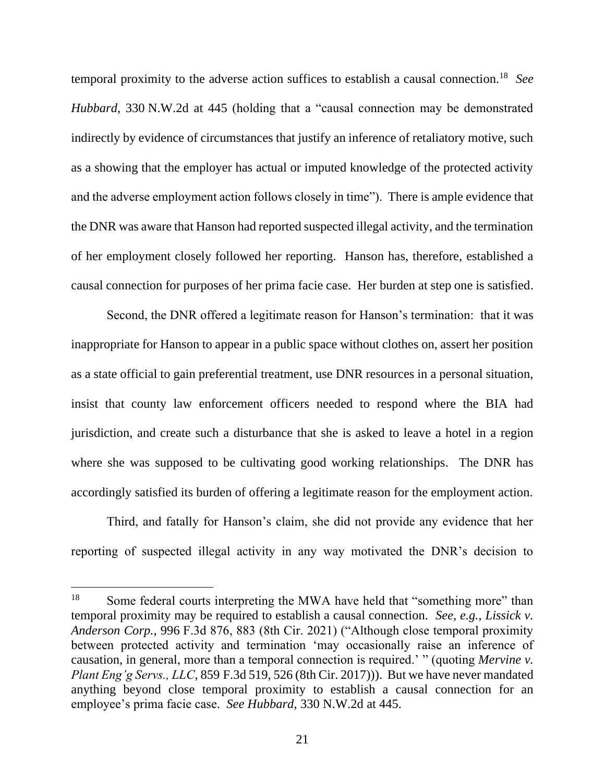temporal proximity to the adverse action suffices to establish a causal connection.<sup>18</sup> *See Hubbard*, 330 N.W.2d at 445 (holding that a "causal connection may be demonstrated indirectly by evidence of circumstances that justify an inference of retaliatory motive, such as a showing that the employer has actual or imputed knowledge of the protected activity and the adverse employment action follows closely in time"). There is ample evidence that the DNR was aware that Hanson had reported suspected illegal activity, and the termination of her employment closely followed her reporting. Hanson has, therefore, established a causal connection for purposes of her prima facie case. Her burden at step one is satisfied.

Second, the DNR offered a legitimate reason for Hanson's termination: that it was inappropriate for Hanson to appear in a public space without clothes on, assert her position as a state official to gain preferential treatment, use DNR resources in a personal situation, insist that county law enforcement officers needed to respond where the BIA had jurisdiction, and create such a disturbance that she is asked to leave a hotel in a region where she was supposed to be cultivating good working relationships. The DNR has accordingly satisfied its burden of offering a legitimate reason for the employment action.

Third, and fatally for Hanson's claim, she did not provide any evidence that her reporting of suspected illegal activity in any way motivated the DNR's decision to

<sup>&</sup>lt;sup>18</sup> Some federal courts interpreting the MWA have held that "something more" than temporal proximity may be required to establish a causal connection. *See, e.g.*, *Lissick v. Anderson Corp.*, 996 F.3d 876, 883 (8th Cir. 2021) ("Although close temporal proximity between protected activity and termination 'may occasionally raise an inference of causation, in general, more than a temporal connection is required.' " (quoting *Mervine v. Plant Eng'g Servs., LLC*, 859 F.3d 519, 526 (8th Cir. 2017))). But we have never mandated anything beyond close temporal proximity to establish a causal connection for an employee's prima facie case. *See Hubbard*, 330 N.W.2d at 445.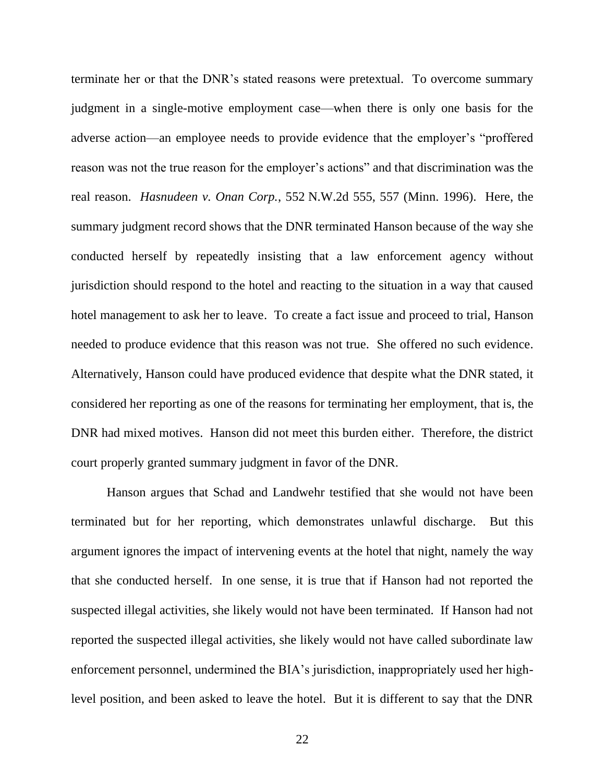terminate her or that the DNR's stated reasons were pretextual. To overcome summary judgment in a single-motive employment case—when there is only one basis for the adverse action—an employee needs to provide evidence that the employer's "proffered reason was not the true reason for the employer's actions" and that discrimination was the real reason. *Hasnudeen v. Onan Corp.*, 552 N.W.2d 555, 557 (Minn. 1996). Here, the summary judgment record shows that the DNR terminated Hanson because of the way she conducted herself by repeatedly insisting that a law enforcement agency without jurisdiction should respond to the hotel and reacting to the situation in a way that caused hotel management to ask her to leave. To create a fact issue and proceed to trial, Hanson needed to produce evidence that this reason was not true. She offered no such evidence. Alternatively, Hanson could have produced evidence that despite what the DNR stated, it considered her reporting as one of the reasons for terminating her employment, that is, the DNR had mixed motives. Hanson did not meet this burden either. Therefore, the district court properly granted summary judgment in favor of the DNR.

Hanson argues that Schad and Landwehr testified that she would not have been terminated but for her reporting, which demonstrates unlawful discharge. But this argument ignores the impact of intervening events at the hotel that night, namely the way that she conducted herself. In one sense, it is true that if Hanson had not reported the suspected illegal activities, she likely would not have been terminated. If Hanson had not reported the suspected illegal activities, she likely would not have called subordinate law enforcement personnel, undermined the BIA's jurisdiction, inappropriately used her highlevel position, and been asked to leave the hotel. But it is different to say that the DNR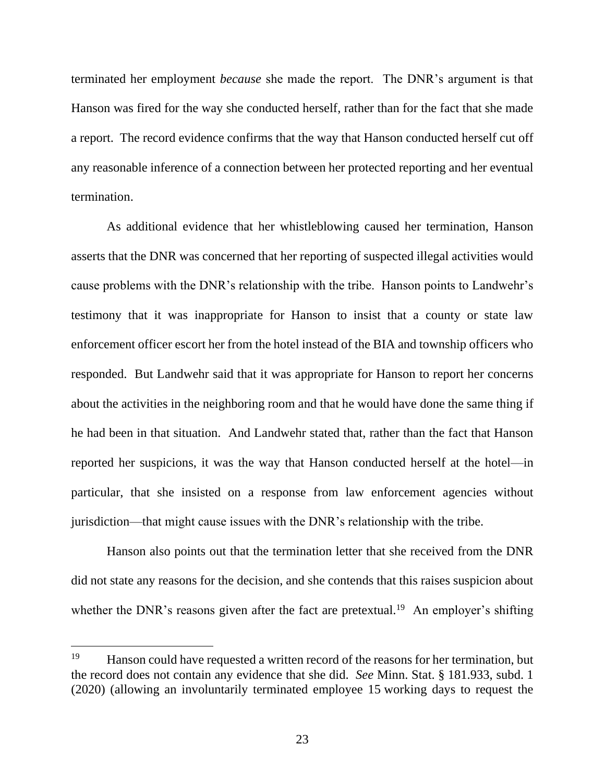terminated her employment *because* she made the report. The DNR's argument is that Hanson was fired for the way she conducted herself, rather than for the fact that she made a report. The record evidence confirms that the way that Hanson conducted herself cut off any reasonable inference of a connection between her protected reporting and her eventual termination.

As additional evidence that her whistleblowing caused her termination, Hanson asserts that the DNR was concerned that her reporting of suspected illegal activities would cause problems with the DNR's relationship with the tribe. Hanson points to Landwehr's testimony that it was inappropriate for Hanson to insist that a county or state law enforcement officer escort her from the hotel instead of the BIA and township officers who responded. But Landwehr said that it was appropriate for Hanson to report her concerns about the activities in the neighboring room and that he would have done the same thing if he had been in that situation. And Landwehr stated that, rather than the fact that Hanson reported her suspicions, it was the way that Hanson conducted herself at the hotel—in particular, that she insisted on a response from law enforcement agencies without jurisdiction—that might cause issues with the DNR's relationship with the tribe.

Hanson also points out that the termination letter that she received from the DNR did not state any reasons for the decision, and she contends that this raises suspicion about whether the DNR's reasons given after the fact are pretextual.<sup>19</sup> An employer's shifting

<sup>&</sup>lt;sup>19</sup> Hanson could have requested a written record of the reasons for her termination, but the record does not contain any evidence that she did. *See* Minn. Stat. § 181.933, subd. 1 (2020) (allowing an involuntarily terminated employee 15 working days to request the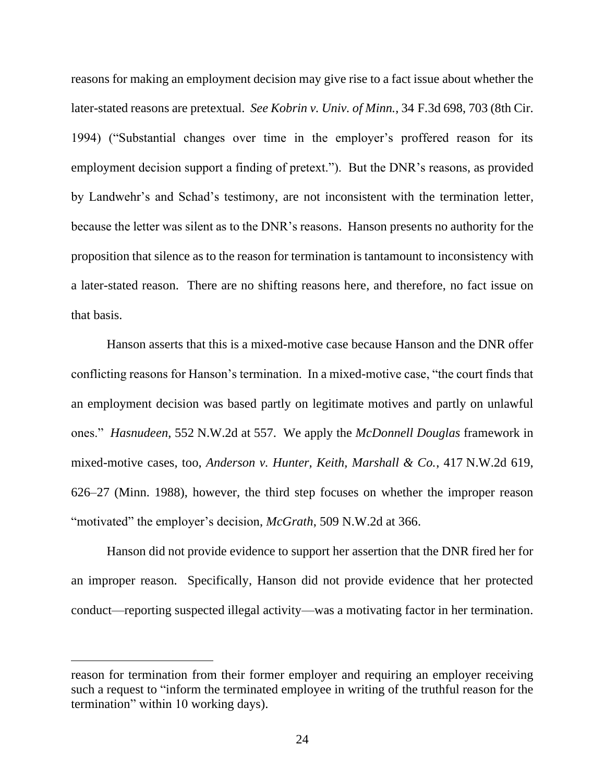reasons for making an employment decision may give rise to a fact issue about whether the later-stated reasons are pretextual. *See Kobrin v. Univ. of Minn.*, 34 F.3d 698, 703 (8th Cir. 1994) ("Substantial changes over time in the employer's proffered reason for its employment decision support a finding of pretext."). But the DNR's reasons, as provided by Landwehr's and Schad's testimony, are not inconsistent with the termination letter, because the letter was silent as to the DNR's reasons. Hanson presents no authority for the proposition that silence as to the reason for termination is tantamount to inconsistency with a later-stated reason. There are no shifting reasons here, and therefore, no fact issue on that basis.

Hanson asserts that this is a mixed-motive case because Hanson and the DNR offer conflicting reasons for Hanson's termination. In a mixed-motive case, "the court finds that an employment decision was based partly on legitimate motives and partly on unlawful ones." *Hasnudeen*, 552 N.W.2d at 557. We apply the *McDonnell Douglas* framework in mixed-motive cases, too, *Anderson v. Hunter, Keith, Marshall & Co.*, 417 N.W.2d 619, 626–27 (Minn. 1988), however, the third step focuses on whether the improper reason "motivated" the employer's decision, *McGrath*, 509 N.W.2d at 366.

Hanson did not provide evidence to support her assertion that the DNR fired her for an improper reason. Specifically, Hanson did not provide evidence that her protected conduct—reporting suspected illegal activity—was a motivating factor in her termination.

reason for termination from their former employer and requiring an employer receiving such a request to "inform the terminated employee in writing of the truthful reason for the termination" within 10 working days).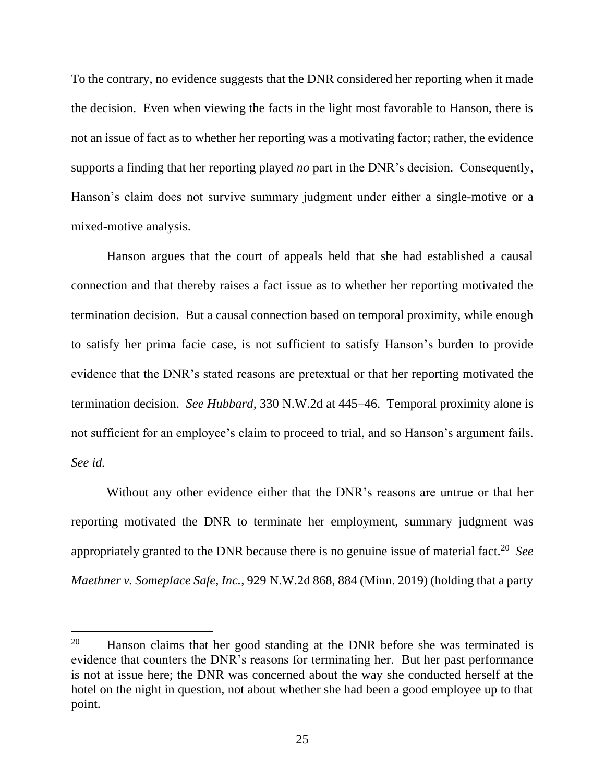To the contrary, no evidence suggests that the DNR considered her reporting when it made the decision. Even when viewing the facts in the light most favorable to Hanson, there is not an issue of fact as to whether her reporting was a motivating factor; rather, the evidence supports a finding that her reporting played *no* part in the DNR's decision. Consequently, Hanson's claim does not survive summary judgment under either a single-motive or a mixed-motive analysis.

Hanson argues that the court of appeals held that she had established a causal connection and that thereby raises a fact issue as to whether her reporting motivated the termination decision. But a causal connection based on temporal proximity, while enough to satisfy her prima facie case, is not sufficient to satisfy Hanson's burden to provide evidence that the DNR's stated reasons are pretextual or that her reporting motivated the termination decision. *See Hubbard*, 330 N.W.2d at 445–46. Temporal proximity alone is not sufficient for an employee's claim to proceed to trial, and so Hanson's argument fails. *See id.*

Without any other evidence either that the DNR's reasons are untrue or that her reporting motivated the DNR to terminate her employment, summary judgment was appropriately granted to the DNR because there is no genuine issue of material fact.<sup>20</sup> See *Maethner v. Someplace Safe, Inc.*, 929 N.W.2d 868, 884 (Minn. 2019) (holding that a party

 $20$  Hanson claims that her good standing at the DNR before she was terminated is evidence that counters the DNR's reasons for terminating her. But her past performance is not at issue here; the DNR was concerned about the way she conducted herself at the hotel on the night in question, not about whether she had been a good employee up to that point.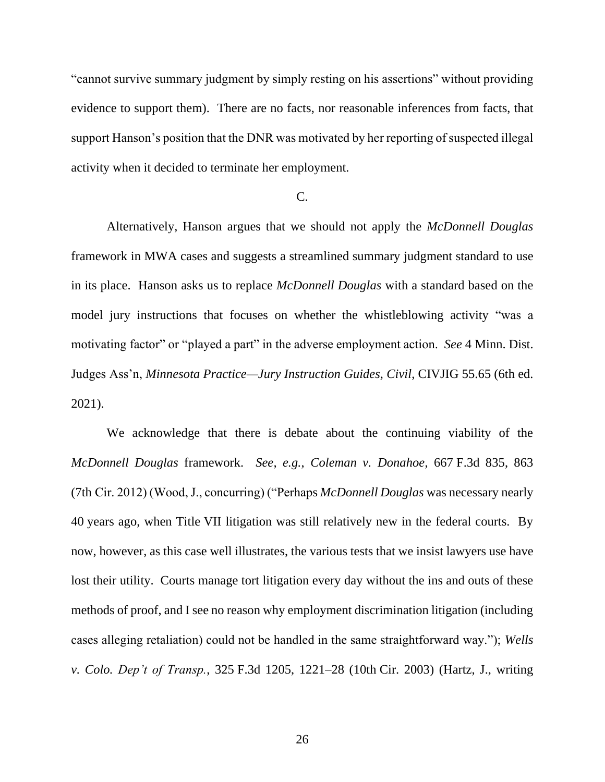"cannot survive summary judgment by simply resting on his assertions" without providing evidence to support them). There are no facts, nor reasonable inferences from facts, that support Hanson's position that the DNR was motivated by her reporting of suspected illegal activity when it decided to terminate her employment.

# C.

Alternatively, Hanson argues that we should not apply the *McDonnell Douglas* framework in MWA cases and suggests a streamlined summary judgment standard to use in its place. Hanson asks us to replace *McDonnell Douglas* with a standard based on the model jury instructions that focuses on whether the whistleblowing activity "was a motivating factor" or "played a part" in the adverse employment action. *See* 4 Minn. Dist. Judges Ass'n, *Minnesota Practice—Jury Instruction Guides, Civil*, CIVJIG 55.65 (6th ed. 2021).

We acknowledge that there is debate about the continuing viability of the *McDonnell Douglas* framework. *See, e.g.*, *Coleman v. Donahoe*, 667 F.3d 835, 863 (7th Cir. 2012) (Wood, J., concurring) ("Perhaps *McDonnell Douglas* was necessary nearly 40 years ago, when Title VII litigation was still relatively new in the federal courts. By now, however, as this case well illustrates, the various tests that we insist lawyers use have lost their utility. Courts manage tort litigation every day without the ins and outs of these methods of proof, and I see no reason why employment discrimination litigation (including cases alleging retaliation) could not be handled in the same straightforward way."); *Wells v. Colo. Dep't of Transp.*, 325 F.3d 1205, 1221–28 (10th Cir. 2003) (Hartz, J., writing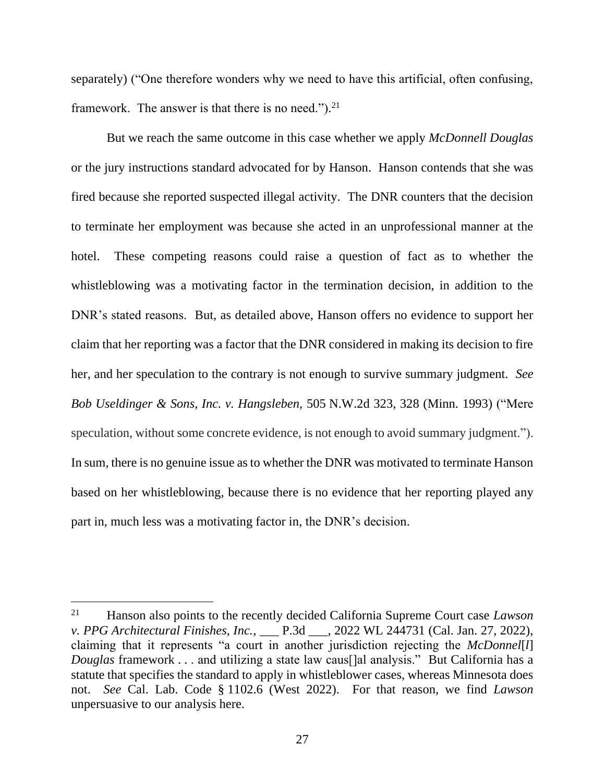separately) ("One therefore wonders why we need to have this artificial, often confusing, framework. The answer is that there is no need."). $21$ 

But we reach the same outcome in this case whether we apply *McDonnell Douglas*  or the jury instructions standard advocated for by Hanson. Hanson contends that she was fired because she reported suspected illegal activity. The DNR counters that the decision to terminate her employment was because she acted in an unprofessional manner at the hotel. These competing reasons could raise a question of fact as to whether the whistleblowing was a motivating factor in the termination decision, in addition to the DNR's stated reasons. But, as detailed above, Hanson offers no evidence to support her claim that her reporting was a factor that the DNR considered in making its decision to fire her, and her speculation to the contrary is not enough to survive summary judgment. *See [Bob Useldinger & Sons, Inc. v. Hangsleben](https://1.next.westlaw.com/Link/Document/FullText?findType=Y&serNum=1993167941&pubNum=0000595&originatingDoc=I3ac17cd62fc311ddb595a478de34cd72&refType=RP&fi=co_pp_sp_595_328&originationContext=document&transitionType=DocumentItem&ppcid=3fa751b1d8964411921fd46c437ba2ac&contextData=(sc.Search)#co_pp_sp_595_328)*, 505 N.W.2d 323, 328 (Minn. 1993) ("Mere speculation, without some concrete evidence, is not enough to avoid summary judgment."). In sum, there is no genuine issue as to whether the DNR was motivated to terminate Hanson based on her whistleblowing, because there is no evidence that her reporting played any part in, much less was a motivating factor in, the DNR's decision.

<sup>21</sup> Hanson also points to the recently decided California Supreme Court case *Lawson v. PPG Architectural Finishes, Inc.*, \_\_\_ P.3d \_\_\_, 2022 WL 244731 (Cal. Jan. 27, 2022), claiming that it represents "a court in another jurisdiction rejecting the *McDonnel*[*l*] *Douglas* framework . . . and utilizing a state law caus[]al analysis." But California has a statute that specifies the standard to apply in whistleblower cases, whereas Minnesota does not. *See* Cal. Lab. Code § 1102.6 (West 2022). For that reason, we find *Lawson* unpersuasive to our analysis here.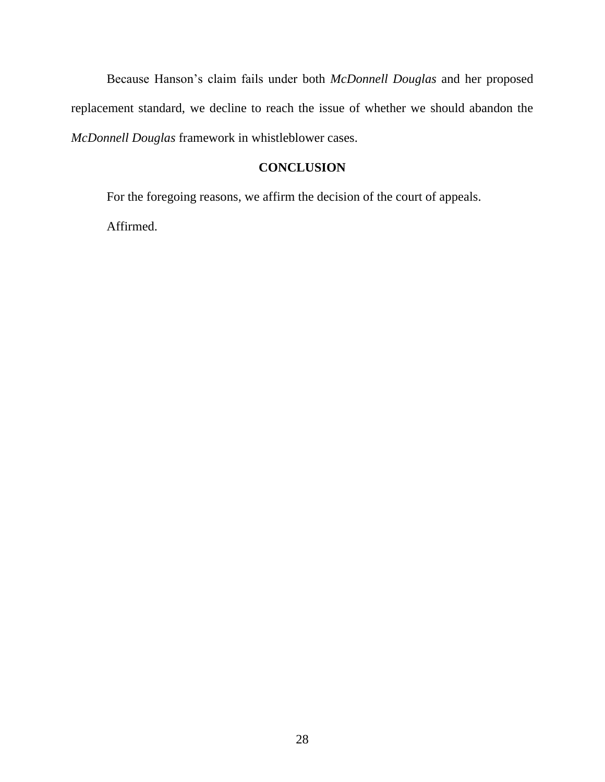Because Hanson's claim fails under both *McDonnell Douglas* and her proposed replacement standard, we decline to reach the issue of whether we should abandon the *McDonnell Douglas* framework in whistleblower cases.

# **CONCLUSION**

For the foregoing reasons, we affirm the decision of the court of appeals.

Affirmed.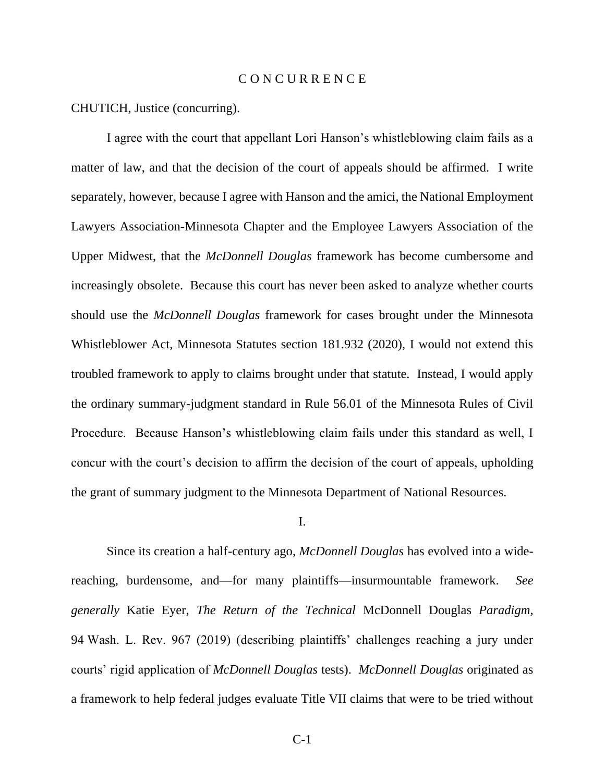## C O N C U R R E N C E

CHUTICH, Justice (concurring).

I agree with the court that appellant Lori Hanson's whistleblowing claim fails as a matter of law, and that the decision of the court of appeals should be affirmed. I write separately, however, because I agree with Hanson and the amici, the National Employment Lawyers Association-Minnesota Chapter and the Employee Lawyers Association of the Upper Midwest, that the *McDonnell Douglas* framework has become cumbersome and increasingly obsolete. Because this court has never been asked to analyze whether courts should use the *McDonnell Douglas* framework for cases brought under the Minnesota Whistleblower Act, Minnesota Statutes section 181.932 (2020), I would not extend this troubled framework to apply to claims brought under that statute. Instead, I would apply the ordinary summary-judgment standard in Rule 56.01 of the Minnesota Rules of Civil Procedure. Because Hanson's whistleblowing claim fails under this standard as well, I concur with the court's decision to affirm the decision of the court of appeals, upholding the grant of summary judgment to the Minnesota Department of National Resources.

I.

Since its creation a half-century ago, *McDonnell Douglas* has evolved into a widereaching, burdensome, and—for many plaintiffs—insurmountable framework. *See generally* Katie Eyer, *The Return of the Technical* McDonnell Douglas *Paradigm*, 94 Wash. L. Rev. 967 (2019) (describing plaintiffs' challenges reaching a jury under courts' rigid application of *McDonnell Douglas* tests). *McDonnell Douglas* originated as a framework to help federal judges evaluate Title VII claims that were to be tried without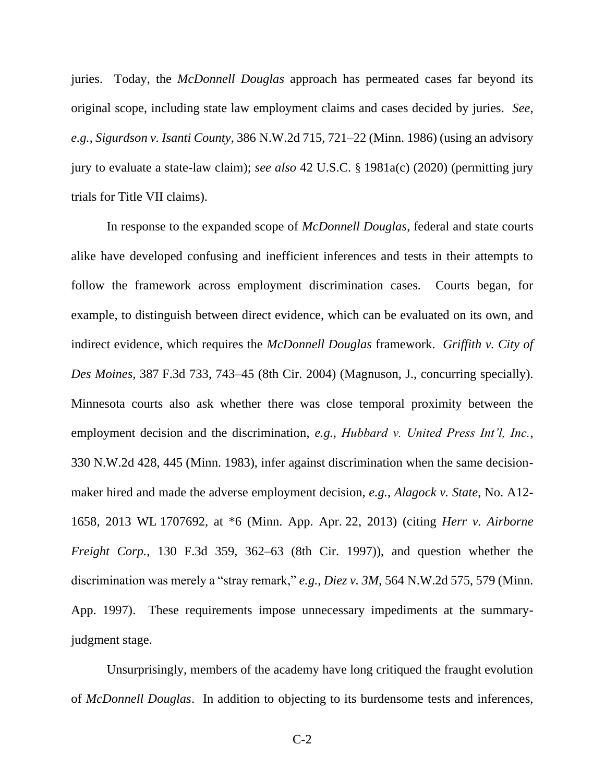juries. Today, the *McDonnell Douglas* approach has permeated cases far beyond its original scope, including state law employment claims and cases decided by juries. *See, e.g.*, *Sigurdson v. Isanti County*, 386 N.W.2d 715, 721–22 (Minn. 1986) (using an advisory jury to evaluate a state-law claim); *see also* 42 U.S.C. § 1981a(c) (2020) (permitting jury trials for Title VII claims).

In response to the expanded scope of *McDonnell Douglas*, federal and state courts alike have developed confusing and inefficient inferences and tests in their attempts to follow the framework across employment discrimination cases. Courts began, for example, to distinguish between direct evidence, which can be evaluated on its own, and indirect evidence, which requires the *McDonnell Douglas* framework. *Griffith v. City of Des Moines*, 387 F.3d 733, 743–45 (8th Cir. 2004) (Magnuson, J., concurring specially). Minnesota courts also ask whether there was close temporal proximity between the employment decision and the discrimination, *e.g.*, *Hubbard v. United Press Int'l, Inc.*, 330 N.W.2d 428, 445 (Minn. 1983), infer against discrimination when the same decisionmaker hired and made the adverse employment decision, *e.g.*, *Alagock v. State*, No. A12- 1658, 2013 WL 1707692, at \*6 (Minn. App. Apr. 22, 2013) (citing *Herr v. Airborne Freight Corp.*, 130 F.3d 359, 362–63 (8th Cir. 1997)), and question whether the discrimination was merely a "stray remark," *e.g.*, *Diez v. 3M*, 564 N.W.2d 575, 579 (Minn. App. 1997). These requirements impose unnecessary impediments at the summaryjudgment stage.

Unsurprisingly, members of the academy have long critiqued the fraught evolution of *McDonnell Douglas*. In addition to objecting to its burdensome tests and inferences,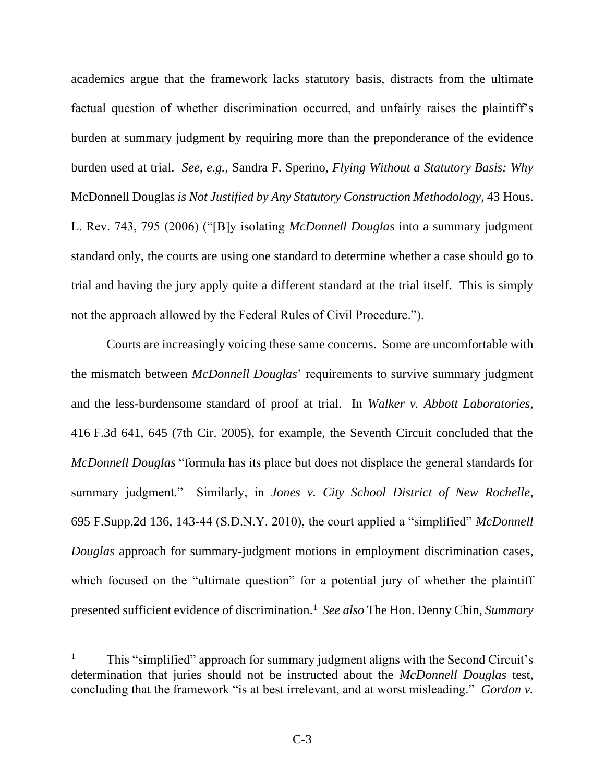academics argue that the framework lacks statutory basis, distracts from the ultimate factual question of whether discrimination occurred, and unfairly raises the plaintiff's burden at summary judgment by requiring more than the preponderance of the evidence burden used at trial. *See, e.g.*, Sandra F. Sperino, *Flying Without a Statutory Basis: Why*  McDonnell Douglas *is Not Justified by Any Statutory Construction Methodology*, 43 Hous. L. Rev. 743, 795 (2006) ("[B]y isolating *McDonnell Douglas* into a summary judgment standard only, the courts are using one standard to determine whether a case should go to trial and having the jury apply quite a different standard at the trial itself. This is simply not the approach allowed by the Federal Rules of Civil Procedure.").

Courts are increasingly voicing these same concerns. Some are uncomfortable with the mismatch between *McDonnell Douglas*' requirements to survive summary judgment and the less-burdensome standard of proof at trial. In *Walker v. Abbott Laboratories*, 416 F.3d 641, 645 (7th Cir. 2005), for example, the Seventh Circuit concluded that the *McDonnell Douglas* "formula has its place but does not displace the general standards for summary judgment." Similarly, in *Jones v. City School District of New Rochelle*, 695 F.Supp.2d 136, 143-44 (S.D.N.Y. 2010), the court applied a "simplified" *McDonnell Douglas* approach for summary-judgment motions in employment discrimination cases, which focused on the "ultimate question" for a potential jury of whether the plaintiff presented sufficient evidence of discrimination.<sup>1</sup> See also The Hon. Denny Chin, Summary

<sup>1</sup> This "simplified" approach for summary judgment aligns with the Second Circuit's determination that juries should not be instructed about the *McDonnell Douglas* test, concluding that the framework "is at best irrelevant, and at worst misleading." *Gordon v.*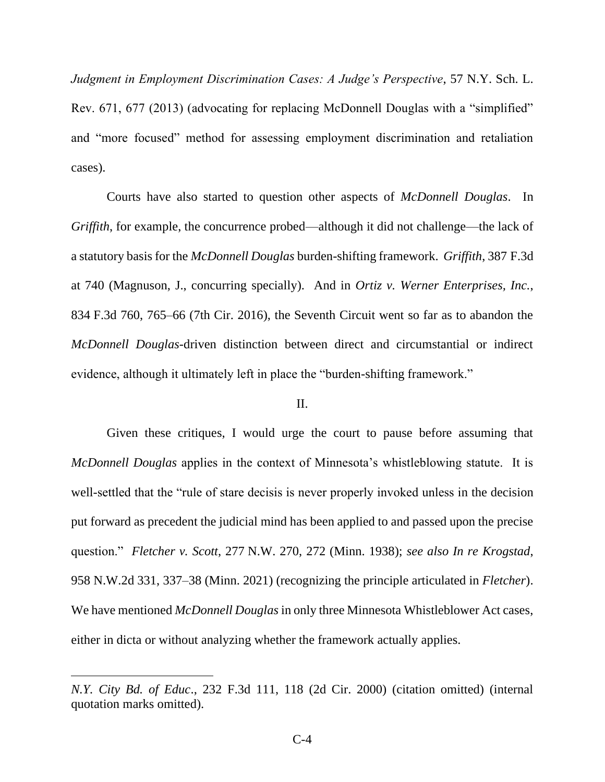*Judgment in Employment Discrimination Cases: A Judge's Perspective*, 57 N.Y. Sch. L. Rev. 671, 677 (2013) (advocating for replacing McDonnell Douglas with a "simplified" and "more focused" method for assessing employment discrimination and retaliation cases).

Courts have also started to question other aspects of *McDonnell Douglas*. In *Griffith*, for example, the concurrence probed—although it did not challenge—the lack of a statutory basis for the *McDonnell Douglas* burden-shifting framework. *Griffith*, 387 F.3d at 740 (Magnuson, J., concurring specially). And in *Ortiz v. Werner Enterprises, Inc.*, 834 F.3d 760, 765–66 (7th Cir. 2016), the Seventh Circuit went so far as to abandon the *McDonnell Douglas*-driven distinction between direct and circumstantial or indirect evidence, although it ultimately left in place the "burden-shifting framework."

## II.

Given these critiques, I would urge the court to pause before assuming that *McDonnell Douglas* applies in the context of Minnesota's whistleblowing statute. It is well-settled that the "rule of stare decisis is never properly invoked unless in the decision put forward as precedent the judicial mind has been applied to and passed upon the precise question." *Fletcher v. Scott*, 277 N.W. 270, 272 (Minn. 1938); *see also In re Krogstad*, 958 N.W.2d 331, 337–38 (Minn. 2021) (recognizing the principle articulated in *Fletcher*). We have mentioned *McDonnell Douglas* in only three Minnesota Whistleblower Act cases, either in dicta or without analyzing whether the framework actually applies.

*N.Y. City Bd. of Educ*., 232 F.3d 111, 118 (2d Cir. 2000) (citation omitted) (internal quotation marks omitted).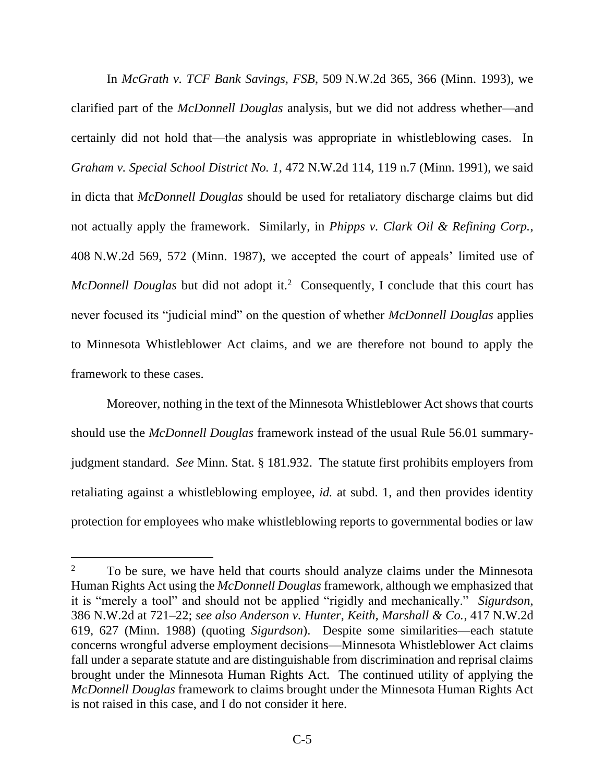In *McGrath v. TCF Bank Savings, FSB*, 509 N.W.2d 365, 366 (Minn. 1993), we clarified part of the *McDonnell Douglas* analysis, but we did not address whether—and certainly did not hold that—the analysis was appropriate in whistleblowing cases. In *Graham v. Special School District No. 1*, 472 N.W.2d 114, 119 n.7 (Minn. 1991), we said in dicta that *McDonnell Douglas* should be used for retaliatory discharge claims but did not actually apply the framework. Similarly, in *Phipps v. Clark Oil & Refining Corp.*, 408 N.W.2d 569, 572 (Minn. 1987), we accepted the court of appeals' limited use of *McDonnell Douglas* but did not adopt it.<sup>2</sup> Consequently, I conclude that this court has never focused its "judicial mind" on the question of whether *McDonnell Douglas* applies to Minnesota Whistleblower Act claims, and we are therefore not bound to apply the framework to these cases.

Moreover, nothing in the text of the Minnesota Whistleblower Act shows that courts should use the *McDonnell Douglas* framework instead of the usual Rule 56.01 summaryjudgment standard. *See* Minn. Stat. § 181.932. The statute first prohibits employers from retaliating against a whistleblowing employee, *id.* at subd. 1, and then provides identity protection for employees who make whistleblowing reports to governmental bodies or law

 $2^2$  To be sure, we have held that courts should analyze claims under the Minnesota Human Rights Act using the *McDonnell Douglas* framework, although we emphasized that it is "merely a tool" and should not be applied "rigidly and mechanically." *Sigurdson*, 386 N.W.2d at 721–22; *see also Anderson v. Hunter, Keith, Marshall & Co.*, 417 N.W.2d 619, 627 (Minn. 1988) (quoting *Sigurdson*). Despite some similarities—each statute concerns wrongful adverse employment decisions—Minnesota Whistleblower Act claims fall under a separate statute and are distinguishable from discrimination and reprisal claims brought under the Minnesota Human Rights Act. The continued utility of applying the *McDonnell Douglas* framework to claims brought under the Minnesota Human Rights Act is not raised in this case, and I do not consider it here.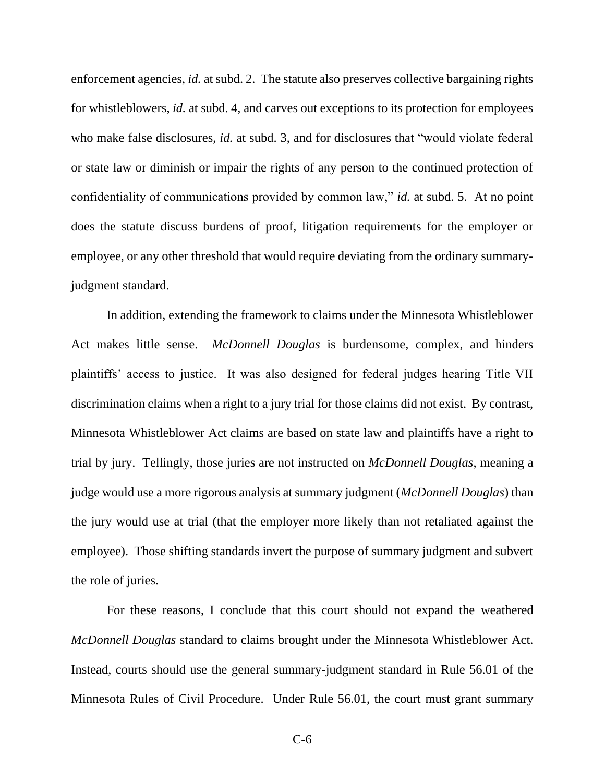enforcement agencies, *id.* at subd. 2. The statute also preserves collective bargaining rights for whistleblowers, *id.* at subd. 4, and carves out exceptions to its protection for employees who make false disclosures, *id.* at subd. 3, and for disclosures that "would violate federal" or state law or diminish or impair the rights of any person to the continued protection of confidentiality of communications provided by common law," *id.* at subd. 5. At no point does the statute discuss burdens of proof, litigation requirements for the employer or employee, or any other threshold that would require deviating from the ordinary summaryjudgment standard.

In addition, extending the framework to claims under the Minnesota Whistleblower Act makes little sense. *McDonnell Douglas* is burdensome, complex, and hinders plaintiffs' access to justice. It was also designed for federal judges hearing Title VII discrimination claims when a right to a jury trial for those claims did not exist. By contrast, Minnesota Whistleblower Act claims are based on state law and plaintiffs have a right to trial by jury. Tellingly, those juries are not instructed on *McDonnell Douglas*, meaning a judge would use a more rigorous analysis at summary judgment (*McDonnell Douglas*) than the jury would use at trial (that the employer more likely than not retaliated against the employee). Those shifting standards invert the purpose of summary judgment and subvert the role of juries.

For these reasons, I conclude that this court should not expand the weathered *McDonnell Douglas* standard to claims brought under the Minnesota Whistleblower Act. Instead, courts should use the general summary-judgment standard in Rule 56.01 of the Minnesota Rules of Civil Procedure. Under Rule 56.01, the court must grant summary